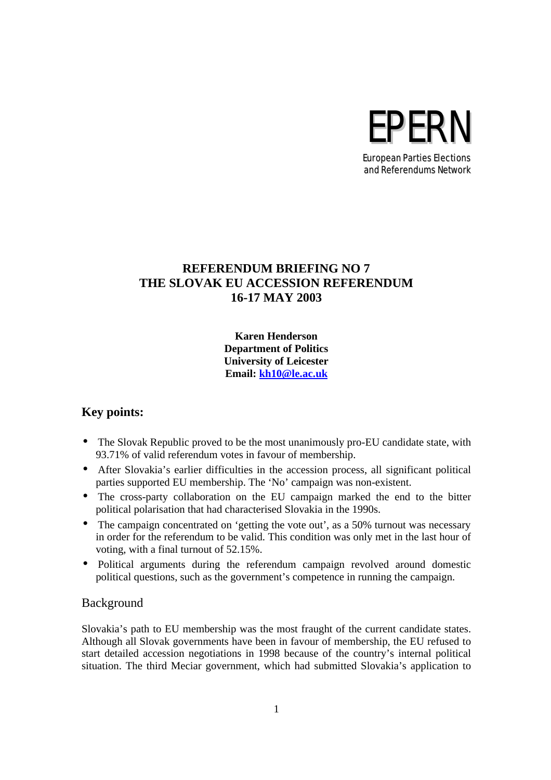# EPERN European Parties Elections

and Referendums Network

## **REFERENDUM BRIEFING NO 7 THE SLOVAK EU ACCESSION REFERENDUM 16-17 MAY 2003**

**Karen Henderson Department of Politics University of Leicester Email: kh10@le.ac.uk**

## **Key points:**

- The Slovak Republic proved to be the most unanimously pro-EU candidate state, with 93.71% of valid referendum votes in favour of membership.
- After Slovakia's earlier difficulties in the accession process, all significant political parties supported EU membership. The 'No' campaign was non-existent.
- The cross-party collaboration on the EU campaign marked the end to the bitter political polarisation that had characterised Slovakia in the 1990s.
- The campaign concentrated on 'getting the vote out', as a 50% turnout was necessary in order for the referendum to be valid. This condition was only met in the last hour of voting, with a final turnout of 52.15%.
- Political arguments during the referendum campaign revolved around domestic political questions, such as the government's competence in running the campaign.

## Background

Slovakia's path to EU membership was the most fraught of the current candidate states. Although all Slovak governments have been in favour of membership, the EU refused to start detailed accession negotiations in 1998 because of the country's internal political situation. The third Meciar government, which had submitted Slovakia's application to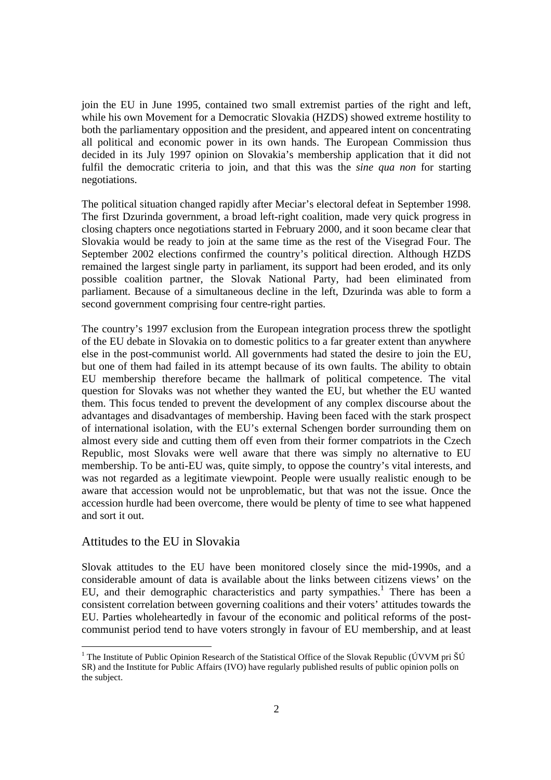join the EU in June 1995, contained two small extremist parties of the right and left, while his own Movement for a Democratic Slovakia (HZDS) showed extreme hostility to both the parliamentary opposition and the president, and appeared intent on concentrating all political and economic power in its own hands. The European Commission thus decided in its July 1997 opinion on Slovakia's membership application that it did not fulfil the democratic criteria to join, and that this was the *sine qua non* for starting negotiations.

The political situation changed rapidly after Meciar's electoral defeat in September 1998. The first Dzurinda government, a broad left-right coalition, made very quick progress in closing chapters once negotiations started in February 2000, and it soon became clear that Slovakia would be ready to join at the same time as the rest of the Visegrad Four. The September 2002 elections confirmed the country's political direction. Although HZDS remained the largest single party in parliament, its support had been eroded, and its only possible coalition partner, the Slovak National Party, had been eliminated from parliament. Because of a simultaneous decline in the left, Dzurinda was able to form a second government comprising four centre-right parties.

The country's 1997 exclusion from the European integration process threw the spotlight of the EU debate in Slovakia on to domestic politics to a far greater extent than anywhere else in the post-communist world. All governments had stated the desire to join the EU, but one of them had failed in its attempt because of its own faults. The ability to obtain EU membership therefore became the hallmark of political competence. The vital question for Slovaks was not whether they wanted the EU, but whether the EU wanted them. This focus tended to prevent the development of any complex discourse about the advantages and disadvantages of membership. Having been faced with the stark prospect of international isolation, with the EU's external Schengen border surrounding them on almost every side and cutting them off even from their former compatriots in the Czech Republic, most Slovaks were well aware that there was simply no alternative to EU membership. To be anti-EU was, quite simply, to oppose the country's vital interests, and was not regarded as a legitimate viewpoint. People were usually realistic enough to be aware that accession would not be unproblematic, but that was not the issue. Once the accession hurdle had been overcome, there would be plenty of time to see what happened and sort it out.

### Attitudes to the EU in Slovakia

Slovak attitudes to the EU have been monitored closely since the mid-1990s, and a considerable amount of data is available about the links between citizens views' on the EU, and their demographic characteristics and party sympathies.<sup>1</sup> There has been a consistent correlation between governing coalitions and their voters' attitudes towards the EU. Parties wholeheartedly in favour of the economic and political reforms of the postcommunist period tend to have voters strongly in favour of EU membership, and at least

<sup>&</sup>lt;sup>1</sup> The Institute of Public Opinion Research of the Statistical Office of the Slovak Republic (ÚVVM pri ŠÚ SR) and the Institute for Public Affairs (IVO) have regularly published results of public opinion polls on the subject.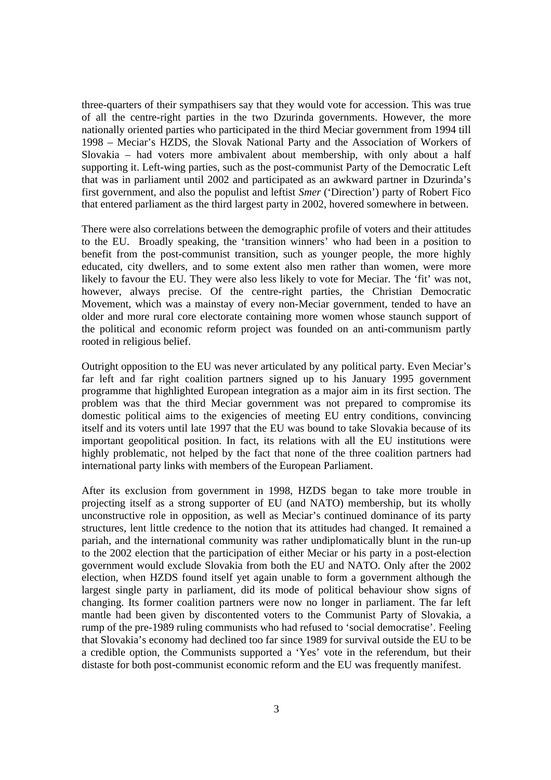three-quarters of their sympathisers say that they would vote for accession. This was true of all the centre-right parties in the two Dzurinda governments. However, the more nationally oriented parties who participated in the third Meciar government from 1994 till 1998 – Meciar's HZDS, the Slovak National Party and the Association of Workers of Slovakia – had voters more ambivalent about membership, with only about a half supporting it. Left-wing parties, such as the post-communist Party of the Democratic Left that was in parliament until 2002 and participated as an awkward partner in Dzurinda's first government, and also the populist and leftist *Smer* ('Direction') party of Robert Fico that entered parliament as the third largest party in 2002, hovered somewhere in between.

There were also correlations between the demographic profile of voters and their attitudes to the EU. Broadly speaking, the 'transition winners' who had been in a position to benefit from the post-communist transition, such as younger people, the more highly educated, city dwellers, and to some extent also men rather than women, were more likely to favour the EU. They were also less likely to vote for Meciar. The 'fit' was not, however, always precise. Of the centre-right parties, the Christian Democratic Movement, which was a mainstay of every non-Meciar government, tended to have an older and more rural core electorate containing more women whose staunch support of the political and economic reform project was founded on an anti-communism partly rooted in religious belief.

Outright opposition to the EU was never articulated by any political party. Even Meciar's far left and far right coalition partners signed up to his January 1995 government programme that highlighted European integration as a major aim in its first section. The problem was that the third Meciar government was not prepared to compromise its domestic political aims to the exigencies of meeting EU entry conditions, convincing itself and its voters until late 1997 that the EU was bound to take Slovakia because of its important geopolitical position. In fact, its relations with all the EU institutions were highly problematic, not helped by the fact that none of the three coalition partners had international party links with members of the European Parliament.

After its exclusion from government in 1998, HZDS began to take more trouble in projecting itself as a strong supporter of EU (and NATO) membership, but its wholly unconstructive role in opposition, as well as Meciar's continued dominance of its party structures, lent little credence to the notion that its attitudes had changed. It remained a pariah, and the international community was rather undiplomatically blunt in the run-up to the 2002 election that the participation of either Meciar or his party in a post-election government would exclude Slovakia from both the EU and NATO. Only after the 2002 election, when HZDS found itself yet again unable to form a government although the largest single party in parliament, did its mode of political behaviour show signs of changing. Its former coalition partners were now no longer in parliament. The far left mantle had been given by discontented voters to the Communist Party of Slovakia, a rump of the pre-1989 ruling communists who had refused to 'social democratise'. Feeling that Slovakia's economy had declined too far since 1989 for survival outside the EU to be a credible option, the Communists supported a 'Yes' vote in the referendum, but their distaste for both post-communist economic reform and the EU was frequently manifest.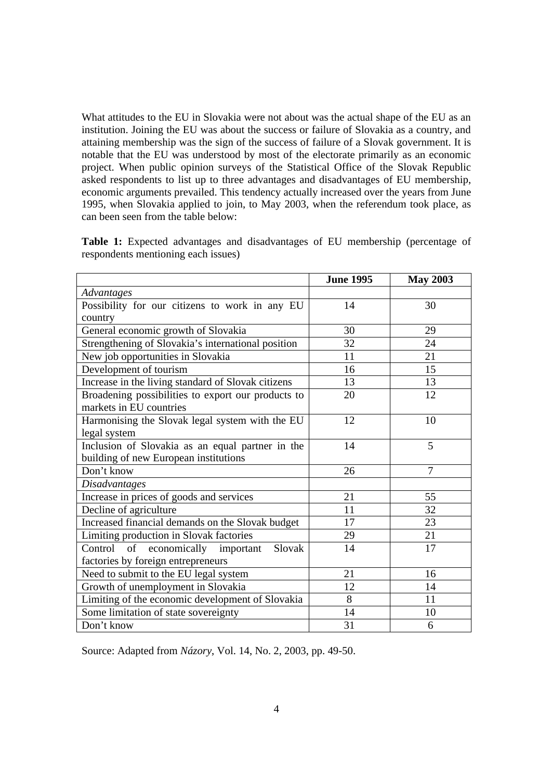What attitudes to the EU in Slovakia were not about was the actual shape of the EU as an institution. Joining the EU was about the success or failure of Slovakia as a country, and attaining membership was the sign of the success of failure of a Slovak government. It is notable that the EU was understood by most of the electorate primarily as an economic project. When public opinion surveys of the Statistical Office of the Slovak Republic asked respondents to list up to three advantages and disadvantages of EU membership, economic arguments prevailed. This tendency actually increased over the years from June 1995, when Slovakia applied to join, to May 2003, when the referendum took place, as can been seen from the table below:

|                                                    | <b>June 1995</b> | <b>May 2003</b> |
|----------------------------------------------------|------------------|-----------------|
| Advantages                                         |                  |                 |
| Possibility for our citizens to work in any EU     | 14               | 30              |
| country                                            |                  |                 |
| General economic growth of Slovakia                | 30               | 29              |
| Strengthening of Slovakia's international position | 32               | 24              |
| New job opportunities in Slovakia                  | 11               | 21              |
| Development of tourism                             | 16               | 15              |
| Increase in the living standard of Slovak citizens | 13               | 13              |
| Broadening possibilities to export our products to | 20               | 12              |
| markets in EU countries                            |                  |                 |
| Harmonising the Slovak legal system with the EU    | 12               | 10              |
| legal system                                       |                  |                 |
| Inclusion of Slovakia as an equal partner in the   | 14               | 5               |
| building of new European institutions              |                  |                 |
| Don't know                                         | 26               | 7               |
| <b>Disadvantages</b>                               |                  |                 |
| Increase in prices of goods and services           | 21               | 55              |
| Decline of agriculture                             | 11               | 32              |
| Increased financial demands on the Slovak budget   | 17               | 23              |
| Limiting production in Slovak factories            | 29               | 21              |
| economically important<br>Slovak<br>Control<br>of  | 14               | 17              |
| factories by foreign entrepreneurs                 |                  |                 |
| Need to submit to the EU legal system              | 21               | 16              |
| Growth of unemployment in Slovakia                 | 12               | 14              |
| Limiting of the economic development of Slovakia   | 8                | 11              |
| Some limitation of state sovereignty               | 14               | 10              |
| Don't know                                         | 31               | 6               |

**Table 1:** Expected advantages and disadvantages of EU membership (percentage of respondents mentioning each issues)

Source: Adapted from *Názory*, Vol. 14, No. 2, 2003, pp. 49-50.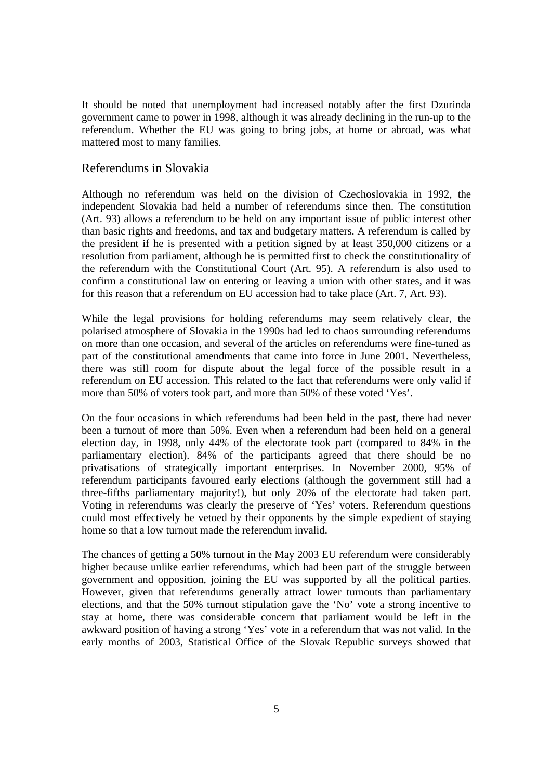It should be noted that unemployment had increased notably after the first Dzurinda government came to power in 1998, although it was already declining in the run-up to the referendum. Whether the EU was going to bring jobs, at home or abroad, was what mattered most to many families.

#### Referendums in Slovakia

Although no referendum was held on the division of Czechoslovakia in 1992, the independent Slovakia had held a number of referendums since then. The constitution (Art. 93) allows a referendum to be held on any important issue of public interest other than basic rights and freedoms, and tax and budgetary matters. A referendum is called by the president if he is presented with a petition signed by at least 350,000 citizens or a resolution from parliament, although he is permitted first to check the constitutionality of the referendum with the Constitutional Court (Art. 95). A referendum is also used to confirm a constitutional law on entering or leaving a union with other states, and it was for this reason that a referendum on EU accession had to take place (Art. 7, Art. 93).

While the legal provisions for holding referendums may seem relatively clear, the polarised atmosphere of Slovakia in the 1990s had led to chaos surrounding referendums on more than one occasion, and several of the articles on referendums were fine-tuned as part of the constitutional amendments that came into force in June 2001. Nevertheless, there was still room for dispute about the legal force of the possible result in a referendum on EU accession. This related to the fact that referendums were only valid if more than 50% of voters took part, and more than 50% of these voted 'Yes'.

On the four occasions in which referendums had been held in the past, there had never been a turnout of more than 50%. Even when a referendum had been held on a general election day, in 1998, only 44% of the electorate took part (compared to 84% in the parliamentary election). 84% of the participants agreed that there should be no privatisations of strategically important enterprises. In November 2000, 95% of referendum participants favoured early elections (although the government still had a three-fifths parliamentary majority!), but only 20% of the electorate had taken part. Voting in referendums was clearly the preserve of 'Yes' voters. Referendum questions could most effectively be vetoed by their opponents by the simple expedient of staying home so that a low turnout made the referendum invalid.

The chances of getting a 50% turnout in the May 2003 EU referendum were considerably higher because unlike earlier referendums, which had been part of the struggle between government and opposition, joining the EU was supported by all the political parties. However, given that referendums generally attract lower turnouts than parliamentary elections, and that the 50% turnout stipulation gave the 'No' vote a strong incentive to stay at home, there was considerable concern that parliament would be left in the awkward position of having a strong 'Yes' vote in a referendum that was not valid. In the early months of 2003, Statistical Office of the Slovak Republic surveys showed that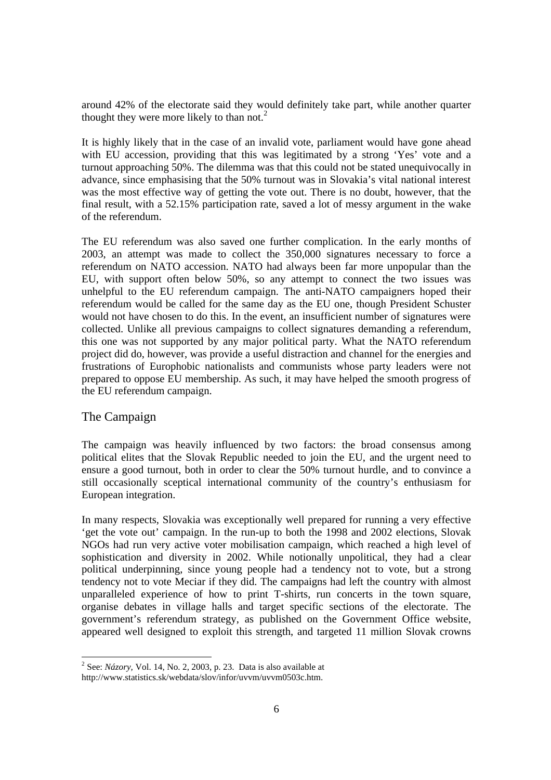around 42% of the electorate said they would definitely take part, while another quarter thought they were more likely to than not.<sup>2</sup>

It is highly likely that in the case of an invalid vote, parliament would have gone ahead with EU accession, providing that this was legitimated by a strong 'Yes' vote and a turnout approaching 50%. The dilemma was that this could not be stated unequivocally in advance, since emphasising that the 50% turnout was in Slovakia's vital national interest was the most effective way of getting the vote out. There is no doubt, however, that the final result, with a 52.15% participation rate, saved a lot of messy argument in the wake of the referendum.

The EU referendum was also saved one further complication. In the early months of 2003, an attempt was made to collect the 350,000 signatures necessary to force a referendum on NATO accession. NATO had always been far more unpopular than the EU, with support often below 50%, so any attempt to connect the two issues was unhelpful to the EU referendum campaign. The anti-NATO campaigners hoped their referendum would be called for the same day as the EU one, though President Schuster would not have chosen to do this. In the event, an insufficient number of signatures were collected. Unlike all previous campaigns to collect signatures demanding a referendum, this one was not supported by any major political party. What the NATO referendum project did do, however, was provide a useful distraction and channel for the energies and frustrations of Europhobic nationalists and communists whose party leaders were not prepared to oppose EU membership. As such, it may have helped the smooth progress of the EU referendum campaign.

### The Campaign

 $\overline{a}$ 

The campaign was heavily influenced by two factors: the broad consensus among political elites that the Slovak Republic needed to join the EU, and the urgent need to ensure a good turnout, both in order to clear the 50% turnout hurdle, and to convince a still occasionally sceptical international community of the country's enthusiasm for European integration.

In many respects, Slovakia was exceptionally well prepared for running a very effective 'get the vote out' campaign. In the run-up to both the 1998 and 2002 elections, Slovak NGOs had run very active voter mobilisation campaign, which reached a high level of sophistication and diversity in 2002. While notionally unpolitical, they had a clear political underpinning, since young people had a tendency not to vote, but a strong tendency not to vote Meciar if they did. The campaigns had left the country with almost unparalleled experience of how to print T-shirts, run concerts in the town square, organise debates in village halls and target specific sections of the electorate. The government's referendum strategy, as published on the Government Office website, appeared well designed to exploit this strength, and targeted 11 million Slovak crowns

 $2^{2}$  See: *Názory*, Vol. 14, No. 2, 2003, p. 23. Data is also available at http://www.statistics.sk/webdata/slov/infor/uvvm/uvvm0503c.htm.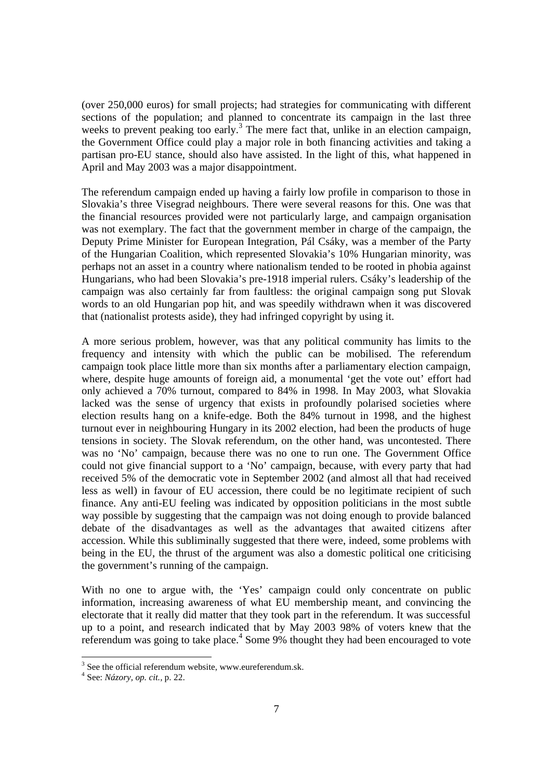(over 250,000 euros) for small projects; had strategies for communicating with different sections of the population; and planned to concentrate its campaign in the last three weeks to prevent peaking too early.<sup>3</sup> The mere fact that, unlike in an election campaign, the Government Office could play a major role in both financing activities and taking a partisan pro-EU stance, should also have assisted. In the light of this, what happened in April and May 2003 was a major disappointment.

The referendum campaign ended up having a fairly low profile in comparison to those in Slovakia's three Visegrad neighbours. There were several reasons for this. One was that the financial resources provided were not particularly large, and campaign organisation was not exemplary. The fact that the government member in charge of the campaign, the Deputy Prime Minister for European Integration, Pál Csáky, was a member of the Party of the Hungarian Coalition, which represented Slovakia's 10% Hungarian minority, was perhaps not an asset in a country where nationalism tended to be rooted in phobia against Hungarians, who had been Slovakia's pre-1918 imperial rulers. Csáky's leadership of the campaign was also certainly far from faultless: the original campaign song put Slovak words to an old Hungarian pop hit, and was speedily withdrawn when it was discovered that (nationalist protests aside), they had infringed copyright by using it.

A more serious problem, however, was that any political community has limits to the frequency and intensity with which the public can be mobilised. The referendum campaign took place little more than six months after a parliamentary election campaign, where, despite huge amounts of foreign aid, a monumental 'get the vote out' effort had only achieved a 70% turnout, compared to 84% in 1998. In May 2003, what Slovakia lacked was the sense of urgency that exists in profoundly polarised societies where election results hang on a knife-edge. Both the 84% turnout in 1998, and the highest turnout ever in neighbouring Hungary in its 2002 election, had been the products of huge tensions in society. The Slovak referendum, on the other hand, was uncontested. There was no 'No' campaign, because there was no one to run one. The Government Office could not give financial support to a 'No' campaign, because, with every party that had received 5% of the democratic vote in September 2002 (and almost all that had received less as well) in favour of EU accession, there could be no legitimate recipient of such finance. Any anti-EU feeling was indicated by opposition politicians in the most subtle way possible by suggesting that the campaign was not doing enough to provide balanced debate of the disadvantages as well as the advantages that awaited citizens after accession. While this subliminally suggested that there were, indeed, some problems with being in the EU, the thrust of the argument was also a domestic political one criticising the government's running of the campaign.

With no one to argue with, the 'Yes' campaign could only concentrate on public information, increasing awareness of what EU membership meant, and convincing the electorate that it really did matter that they took part in the referendum. It was successful up to a point, and research indicated that by May 2003 98% of voters knew that the referendum was going to take place.<sup>4</sup> Some 9% thought they had been encouraged to vote

 $\overline{a}$ 

 $3$  See the official referendum website, www.eureferendum.sk.

<sup>4</sup> See: *Názory, op. cit.,* p. 22.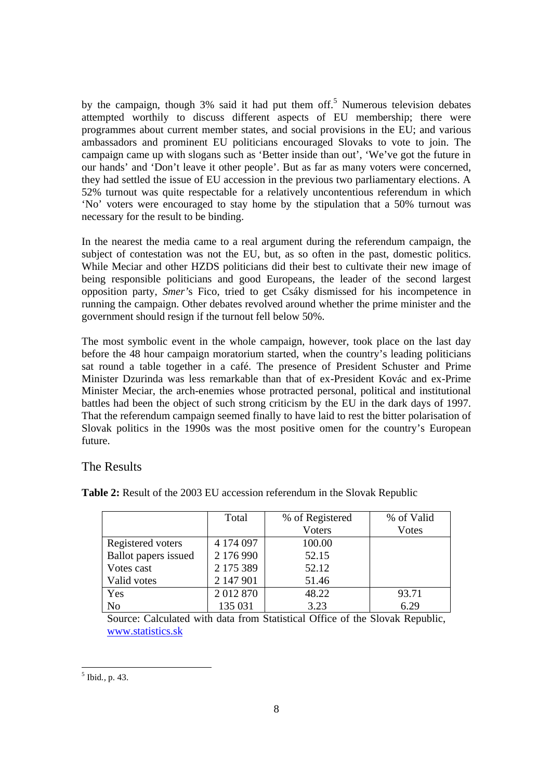by the campaign, though 3% said it had put them off.<sup>5</sup> Numerous television debates attempted worthily to discuss different aspects of EU membership; there were programmes about current member states, and social provisions in the EU; and various ambassadors and prominent EU politicians encouraged Slovaks to vote to join. The campaign came up with slogans such as 'Better inside than out', 'We've got the future in our hands' and 'Don't leave it other people'. But as far as many voters were concerned, they had settled the issue of EU accession in the previous two parliamentary elections. A 52% turnout was quite respectable for a relatively uncontentious referendum in which 'No' voters were encouraged to stay home by the stipulation that a 50% turnout was necessary for the result to be binding.

In the nearest the media came to a real argument during the referendum campaign, the subject of contestation was not the EU, but, as so often in the past, domestic politics. While Meciar and other HZDS politicians did their best to cultivate their new image of being responsible politicians and good Europeans, the leader of the second largest opposition party, *Smer'*s Fico, tried to get Csáky dismissed for his incompetence in running the campaign. Other debates revolved around whether the prime minister and the government should resign if the turnout fell below 50%.

The most symbolic event in the whole campaign, however, took place on the last day before the 48 hour campaign moratorium started, when the country's leading politicians sat round a table together in a café. The presence of President Schuster and Prime Minister Dzurinda was less remarkable than that of ex-President Kovác and ex-Prime Minister Meciar, the arch-enemies whose protracted personal, political and institutional battles had been the object of such strong criticism by the EU in the dark days of 1997. That the referendum campaign seemed finally to have laid to rest the bitter polarisation of Slovak politics in the 1990s was the most positive omen for the country's European future.

## The Results

**Table 2:** Result of the 2003 EU accession referendum in the Slovak Republic

|                      | Total     | % of Registered | % of Valid    |
|----------------------|-----------|-----------------|---------------|
|                      |           | <b>Voters</b>   | <b>V</b> otes |
| Registered voters    | 4 174 097 | 100.00          |               |
| Ballot papers issued | 2 176 990 | 52.15           |               |
| Votes cast           | 2 175 389 | 52.12           |               |
| Valid votes          | 2 147 901 | 51.46           |               |
| Yes                  | 2012870   | 48.22           | 93.71         |
| No                   | 135 031   | 3.23            | 6.29          |

Source: Calculated with data from Statistical Office of the Slovak Republic, www.statistics.sk

 5 Ibid*.,* p. 43.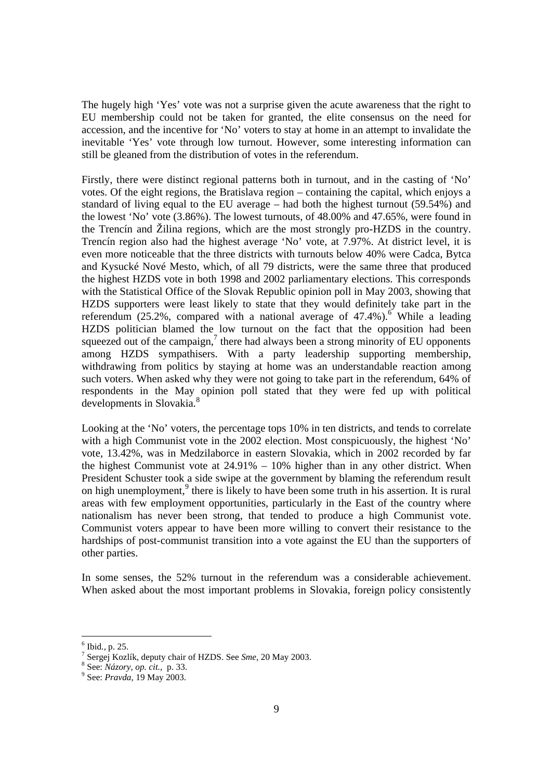The hugely high 'Yes' vote was not a surprise given the acute awareness that the right to EU membership could not be taken for granted, the elite consensus on the need for accession, and the incentive for 'No' voters to stay at home in an attempt to invalidate the inevitable 'Yes' vote through low turnout. However, some interesting information can still be gleaned from the distribution of votes in the referendum.

Firstly, there were distinct regional patterns both in turnout, and in the casting of 'No' votes. Of the eight regions, the Bratislava region – containing the capital, which enjoys a standard of living equal to the EU average – had both the highest turnout (59.54%) and the lowest 'No' vote (3.86%). The lowest turnouts, of 48.00% and 47.65%, were found in the Trencín and Žilina regions, which are the most strongly pro-HZDS in the country. Trencín region also had the highest average 'No' vote, at 7.97%. At district level, it is even more noticeable that the three districts with turnouts below 40% were Cadca, Bytca and Kysucké Nové Mesto, which, of all 79 districts, were the same three that produced the highest HZDS vote in both 1998 and 2002 parliamentary elections. This corresponds with the Statistical Office of the Slovak Republic opinion poll in May 2003, showing that HZDS supporters were least likely to state that they would definitely take part in the referendum (25.2%, compared with a national average of 47.4%).<sup>6</sup> While a leading HZDS politician blamed the low turnout on the fact that the opposition had been squeezed out of the campaign, $^7$  there had always been a strong minority of EU opponents among HZDS sympathisers. With a party leadership supporting membership, withdrawing from politics by staying at home was an understandable reaction among such voters. When asked why they were not going to take part in the referendum, 64% of respondents in the May opinion poll stated that they were fed up with political developments in Slovakia.<sup>8</sup>

Looking at the 'No' voters, the percentage tops 10% in ten districts, and tends to correlate with a high Communist vote in the 2002 election. Most conspicuously, the highest 'No' vote, 13.42%, was in Medzilaborce in eastern Slovakia, which in 2002 recorded by far the highest Communist vote at 24.91% – 10% higher than in any other district. When President Schuster took a side swipe at the government by blaming the referendum result on high unemployment,  $9$  there is likely to have been some truth in his assertion. It is rural areas with few employment opportunities, particularly in the East of the country where nationalism has never been strong, that tended to produce a high Communist vote. Communist voters appear to have been more willing to convert their resistance to the hardships of post-communist transition into a vote against the EU than the supporters of other parties.

In some senses, the 52% turnout in the referendum was a considerable achievement. When asked about the most important problems in Slovakia, foreign policy consistently

<sup>6</sup> Ibid*.,* p. 25.

<sup>7</sup> Sergej Kozlík, deputy chair of HZDS. See *Sme,* 20 May 2003.

<sup>8</sup> See: *Názory, op. cit.,* p. 33.

<sup>9</sup> See: *Pravda,* 19 May 2003.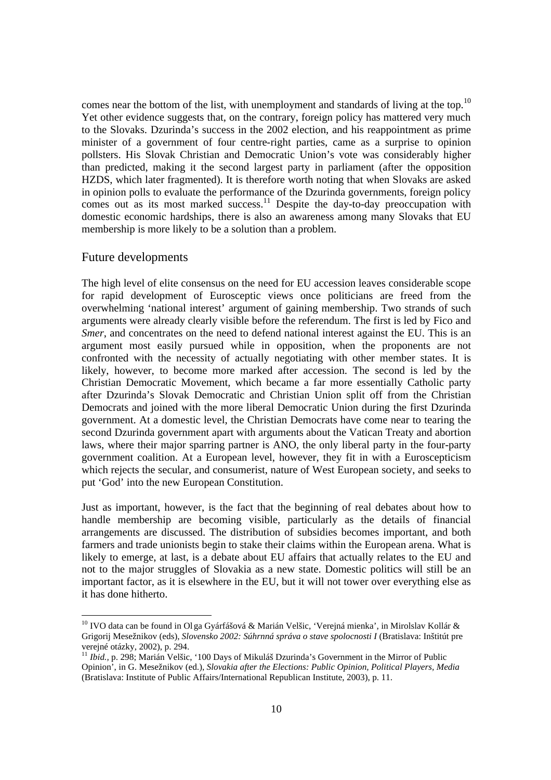comes near the bottom of the list, with unemployment and standards of living at the top.<sup>10</sup> Yet other evidence suggests that, on the contrary, foreign policy has mattered very much to the Slovaks. Dzurinda's success in the 2002 election, and his reappointment as prime minister of a government of four centre-right parties, came as a surprise to opinion pollsters. His Slovak Christian and Democratic Union's vote was considerably higher than predicted, making it the second largest party in parliament (after the opposition HZDS, which later fragmented). It is therefore worth noting that when Slovaks are asked in opinion polls to evaluate the performance of the Dzurinda governments, foreign policy comes out as its most marked success.<sup>11</sup> Despite the day-to-day preoccupation with domestic economic hardships, there is also an awareness among many Slovaks that EU membership is more likely to be a solution than a problem.

#### Future developments

The high level of elite consensus on the need for EU accession leaves considerable scope for rapid development of Eurosceptic views once politicians are freed from the overwhelming 'national interest' argument of gaining membership. Two strands of such arguments were already clearly visible before the referendum. The first is led by Fico and *Smer*, and concentrates on the need to defend national interest against the EU. This is an argument most easily pursued while in opposition, when the proponents are not confronted with the necessity of actually negotiating with other member states. It is likely, however, to become more marked after accession. The second is led by the Christian Democratic Movement, which became a far more essentially Catholic party after Dzurinda's Slovak Democratic and Christian Union split off from the Christian Democrats and joined with the more liberal Democratic Union during the first Dzurinda government. At a domestic level, the Christian Democrats have come near to tearing the second Dzurinda government apart with arguments about the Vatican Treaty and abortion laws, where their major sparring partner is ANO, the only liberal party in the four-party government coalition. At a European level, however, they fit in with a Euroscepticism which rejects the secular, and consumerist, nature of West European society, and seeks to put 'God' into the new European Constitution.

Just as important, however, is the fact that the beginning of real debates about how to handle membership are becoming visible, particularly as the details of financial arrangements are discussed. The distribution of subsidies becomes important, and both farmers and trade unionists begin to stake their claims within the European arena. What is likely to emerge, at last, is a debate about EU affairs that actually relates to the EU and not to the major struggles of Slovakia as a new state. Domestic politics will still be an important factor, as it is elsewhere in the EU, but it will not tower over everything else as it has done hitherto.

<sup>&</sup>lt;sup>10</sup> IVO data can be found in Ol ga Gyárfášová & Marián Velšic, 'Verejná mienka', in Mirolslav Kollár & Grigorij Mesežnikov (eds), *Slovensko 2002: Súhrnná správa o stave spolocnosti I* (Bratislava: Inštitút pre verejné otázky, 2002), p. 294.

<sup>&</sup>lt;sup>11</sup> *Ibid.*, p. 298; Marián Velšic, '100 Days of Mikuláš Dzurinda's Government in the Mirror of Public Opinion', in G. Mesežnikov (ed.), *Slovakia after the Elections: Public Opinion, Political Players, Media*  (Bratislava: Institute of Public Affairs/International Republican Institute, 2003), p. 11.